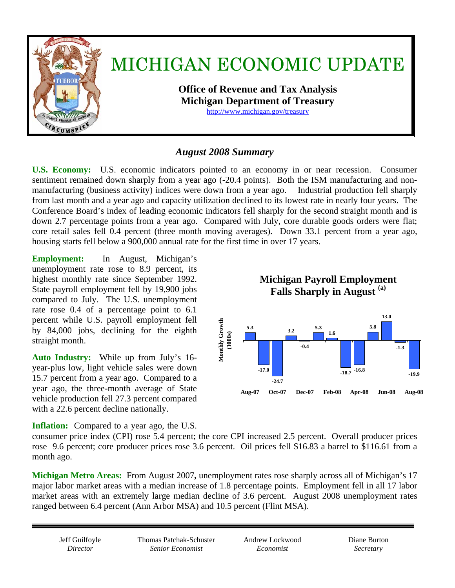

## *August 2008 Summary*

**U.S. Economy:** U.S. economic indicators pointed to an economy in or near recession. Consumer sentiment remained down sharply from a year ago (-20.4 points). Both the ISM manufacturing and nonmanufacturing (business activity) indices were down from a year ago. Industrial production fell sharply from last month and a year ago and capacity utilization declined to its lowest rate in nearly four years. The Conference Board's index of leading economic indicators fell sharply for the second straight month and is down 2.7 percentage points from a year ago. Compared with July, core durable goods orders were flat; core retail sales fell 0.4 percent (three month moving averages). Down 33.1 percent from a year ago, housing starts fell below a 900,000 annual rate for the first time in over 17 years.

**Employment:** In August, Michigan's unemployment rate rose to 8.9 percent, its highest monthly rate since September 1992. State payroll employment fell by 19,900 jobs compared to July. The U.S. unemployment rate rose 0.4 of a percentage point to 6.1 percent while U.S. payroll employment fell by 84,000 jobs, declining for the eighth straight month.

**Auto Industry:** While up from July's 16 year-plus low, light vehicle sales were down 15.7 percent from a year ago. Compared to a year ago, the three-month average of State vehicle production fell 27.3 percent compared with a 22.6 percent decline nationally.

**Inflation:** Compared to a year ago, the U.S.



consumer price index (CPI) rose 5.4 percent; the core CPI increased 2.5 percent. Overall producer prices rose 9.6 percent; core producer prices rose 3.6 percent. Oil prices fell \$16.83 a barrel to \$116.61 from a month ago.

**Michigan Metro Areas:** From August 2007**,** unemployment rates rose sharply across all of Michigan's 17 major labor market areas with a median increase of 1.8 percentage points.Employment fell in all 17 labor market areas with an extremely large median decline of 3.6 percent. August 2008 unemployment rates ranged between 6.4 percent (Ann Arbor MSA) and 10.5 percent (Flint MSA).

Thomas Patchak-Schuster *Senior Economist* 

Andrew Lockwood *Economist* 

Diane Burton *Secretary*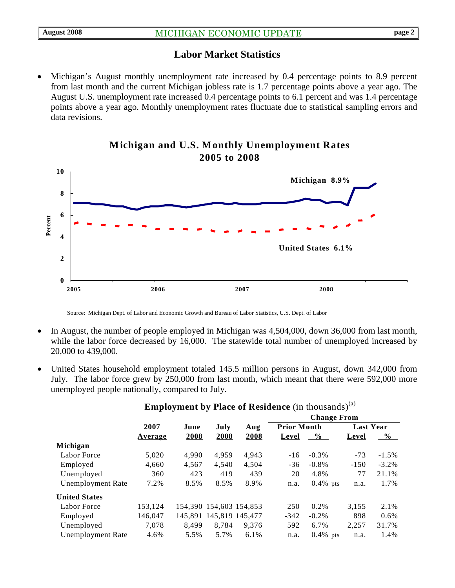## **Labor Market Statistics**

• Michigan's August monthly unemployment rate increased by 0.4 percentage points to 8.9 percent from last month and the current Michigan jobless rate is 1.7 percentage points above a year ago. The August U.S. unemployment rate increased 0.4 percentage points to 6.1 percent and was 1.4 percentage points above a year ago. Monthly unemployment rates fluctuate due to statistical sampling errors and data revisions.



## **Michigan and U.S. Monthly Unemployment Rates 2005 to 2008**

Source: Michigan Dept. of Labor and Economic Growth and Bureau of Labor Statistics, U.S. Dept. of Labor

- In August, the number of people employed in Michigan was 4,504,000, down 36,000 from last month, while the labor force decreased by 16,000. The statewide total number of unemployed increased by 20,000 to 439,000.
- United States household employment totaled 145.5 million persons in August, down 342,000 from July. The labor force grew by 250,000 from last month, which meant that there were 592,000 more unemployed people nationally, compared to July.

|                          |         | June  | July                    | Aug   | <b>Change From</b> |             |                  |          |
|--------------------------|---------|-------|-------------------------|-------|--------------------|-------------|------------------|----------|
|                          | 2007    |       |                         |       | <b>Prior Month</b> |             | <b>Last Year</b> |          |
|                          | Average | 2008  | 2008                    | 2008  | Level              | $\%$        | Level            | $\%$     |
| Michigan                 |         |       |                         |       |                    |             |                  |          |
| Labor Force              | 5,020   | 4.990 | 4.959                   | 4.943 | $-16$              | $-0.3\%$    | $-73$            | $-1.5\%$ |
| Employed                 | 4,660   | 4,567 | 4.540                   | 4,504 | $-36$              | $-0.8\%$    | $-150$           | $-3.2\%$ |
| Unemployed               | 360     | 423   | 419                     | 439   | 20                 | 4.8%        | 77               | 21.1%    |
| <b>Unemployment Rate</b> | 7.2%    | 8.5%  | 8.5%                    | 8.9%  | n.a.               | $0.4\%$ pts | n.a.             | 1.7%     |
| <b>United States</b>     |         |       |                         |       |                    |             |                  |          |
| Labor Force              | 153,124 |       | 154,390 154,603 154,853 |       | 250                | 0.2%        | 3,155            | 2.1%     |
| Employed                 | 146,047 |       | 145,891 145,819 145,477 |       | $-342$             | $-0.2\%$    | 898              | $0.6\%$  |
| Unemployed               | 7.078   | 8.499 | 8.784                   | 9.376 | 592                | 6.7%        | 2,257            | 31.7%    |
| <b>Unemployment Rate</b> | 4.6%    | 5.5%  | 5.7%                    | 6.1%  | n.a.               | $0.4\%$ pts | n.a.             | 1.4%     |
|                          |         |       |                         |       |                    |             |                  |          |

### **Employment by Place of Residence** (in thousands)<sup>(a)</sup>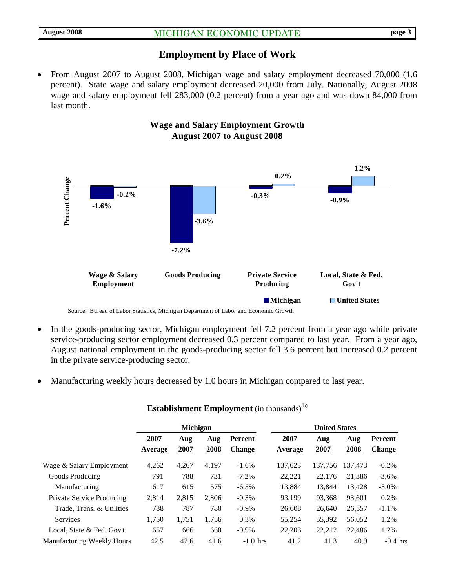## **Employment by Place of Work**

• From August 2007 to August 2008, Michigan wage and salary employment decreased 70,000 (1.6 percent).State wage and salary employment decreased 20,000 from July. Nationally, August 2008 wage and salary employment fell 283,000 (0.2 percent) from a year ago and was down 84,000 from last month.

> **Wage and Salary Employment Growth August 2007 to August 2008**



- In the goods-producing sector, Michigan employment fell 7.2 percent from a year ago while private service-producing sector employment decreased 0.3 percent compared to last year. From a year ago, August national employment in the goods-producing sector fell 3.6 percent but increased 0.2 percent in the private service-producing sector.
- Manufacturing weekly hours decreased by 1.0 hours in Michigan compared to last year.

|                                   | Michigan        |             |             |                                 | <b>United States</b> |             |             |                          |  |
|-----------------------------------|-----------------|-------------|-------------|---------------------------------|----------------------|-------------|-------------|--------------------------|--|
|                                   | 2007<br>Average | Aug<br>2007 | Aug<br>2008 | <b>Percent</b><br><b>Change</b> | 2007<br>Average      | Aug<br>2007 | Aug<br>2008 | Percent<br><b>Change</b> |  |
| Wage & Salary Employment          | 4,262           | 4,267       | 4.197       | $-1.6\%$                        | 137.623              | 137.756     | 137.473     | $-0.2\%$                 |  |
| Goods Producing                   | 791             | 788         | 731         | $-7.2%$                         | 22,221               | 22,176      | 21,386      | $-3.6\%$                 |  |
| Manufacturing                     | 617             | 615         | 575         | $-6.5\%$                        | 13,884               | 13,844      | 13,428      | $-3.0\%$                 |  |
| <b>Private Service Producing</b>  | 2,814           | 2,815       | 2.806       | $-0.3%$                         | 93.199               | 93,368      | 93,601      | 0.2%                     |  |
| Trade, Trans. & Utilities         | 788             | 787         | 780         | $-0.9\%$                        | 26,608               | 26,640      | 26,357      | $-1.1\%$                 |  |
| <b>Services</b>                   | 1,750           | 1,751       | 1,756       | 0.3%                            | 55,254               | 55,392      | 56,052      | 1.2%                     |  |
| Local, State & Fed. Gov't         | 657             | 666         | 660         | $-0.9\%$                        | 22,203               | 22,212      | 22,486      | 1.2%                     |  |
| <b>Manufacturing Weekly Hours</b> | 42.5            | 42.6        | 41.6        | $-1.0$ hrs                      | 41.2                 | 41.3        | 40.9        | $-0.4$ hrs               |  |

#### **Establishment Employment** (in thousands)<sup>(b)</sup>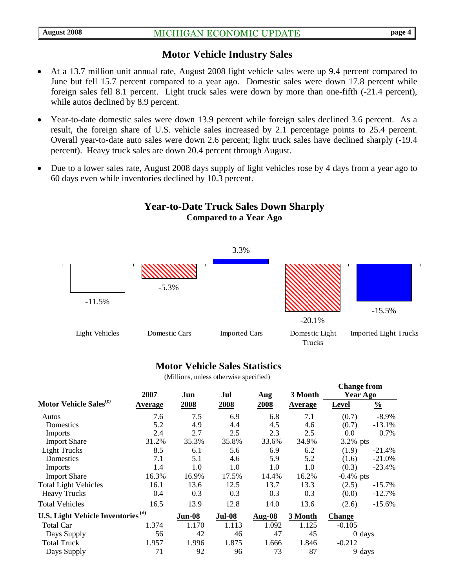### **Motor Vehicle Industry Sales**

- At a 13.7 million unit annual rate, August 2008 light vehicle sales were up 9.4 percent compared to June but fell 15.7 percent compared to a year ago. Domestic sales were down 17.8 percent while foreign sales fell 8.1 percent. Light truck sales were down by more than one-fifth (-21.4 percent), while autos declined by 8.9 percent.
- Year-to-date domestic sales were down 13.9 percent while foreign sales declined 3.6 percent. As a result, the foreign share of U.S. vehicle sales increased by 2.1 percentage points to 25.4 percent. Overall year-to-date auto sales were down 2.6 percent; light truck sales have declined sharply (-19.4 percent). Heavy truck sales are down 20.4 percent through August.
- Due to a lower sales rate, August 2008 days supply of light vehicles rose by 4 days from a year ago to 60 days even while inventories declined by 10.3 percent.



## **Year-to-Date Truck Sales Down Sharply Compared to a Year Ago**

#### **Motor Vehicle Sales Statistics**

(Millions, unless otherwise specified)

|                                               | 2007           | Jun           | Jul           | Aug           | 3 Month        | $\mathbf{u}$ and $\mathbf{v}$<br><b>Year Ago</b> |               |
|-----------------------------------------------|----------------|---------------|---------------|---------------|----------------|--------------------------------------------------|---------------|
| Motor Vehicle Sales <sup>(c)</sup>            | <b>Average</b> | 2008          | 2008          | 2008          | <b>Average</b> | <b>Level</b>                                     | $\frac{0}{0}$ |
| Autos                                         | 7.6            | 7.5           | 6.9           | 6.8           | 7.1            | (0.7)                                            | $-8.9\%$      |
| Domestics                                     | 5.2            | 4.9           | 4.4           | 4.5           | 4.6            | (0.7)                                            | $-13.1%$      |
| <b>Imports</b>                                | 2.4            | 2.7           | 2.5           | 2.3           | 2.5            | 0.0                                              | 0.7%          |
| <b>Import Share</b>                           | 31.2%          | 35.3%         | 35.8%         | 33.6%         | 34.9%          | $3.2\%$ pts                                      |               |
| <b>Light Trucks</b>                           | 8.5            | 6.1           | 5.6           | 6.9           | 6.2            | (1.9)                                            | $-21.4%$      |
| Domestics                                     | 7.1            | 5.1           | 4.6           | 5.9           | 5.2            | (1.6)                                            | $-21.0%$      |
| Imports                                       | 1.4            | 1.0           | 1.0           | 1.0           | 1.0            | (0.3)                                            | $-23.4%$      |
| <b>Import Share</b>                           | 16.3%          | 16.9%         | 17.5%         | 14.4%         | 16.2%          | $-0.4\%$ pts                                     |               |
| <b>Total Light Vehicles</b>                   | 16.1           | 13.6          | 12.5          | 13.7          | 13.3           | (2.5)                                            | $-15.7\%$     |
| <b>Heavy Trucks</b>                           | 0.4            | 0.3           | 0.3           | 0.3           | 0.3            | (0.0)                                            | $-12.7%$      |
| <b>Total Vehicles</b>                         | 16.5           | 13.9          | 12.8          | 14.0          | 13.6           | (2.6)                                            | $-15.6%$      |
| U.S. Light Vehicle Inventories <sup>(d)</sup> |                | <b>Jun-08</b> | <b>Jul-08</b> | <b>Aug-08</b> | 3 Month        | <b>Change</b>                                    |               |
| Total Car                                     | 1.374          | 1.170         | 1.113         | 1.092         | 1.125          | $-0.105$                                         |               |
| Days Supply                                   | 56             | 42            | 46            | 47            | 45             | $0 \text{ days}$                                 |               |
| <b>Total Truck</b>                            | 1.957          | 1.996         | 1.875         | 1.666         | 1.846          | $-0.212$                                         |               |
| Days Supply                                   | 71             | 92            | 96            | 73            | 87             | 9 days                                           |               |

**Change from**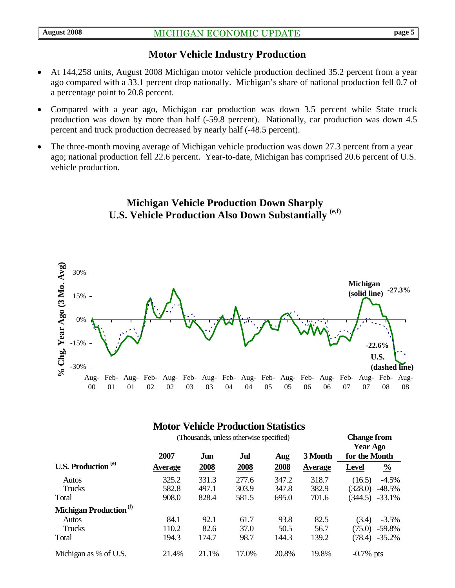## **Motor Vehicle Industry Production**

- At 144,258 units, August 2008 Michigan motor vehicle production declined 35.2 percent from a year ago compared with a 33.1 percent drop nationally. Michigan's share of national production fell 0.7 of a percentage point to 20.8 percent.
- Compared with a year ago, Michigan car production was down 3.5 percent while State truck production was down by more than half (-59.8 percent). Nationally, car production was down 4.5 percent and truck production decreased by nearly half (-48.5 percent).
- The three-month moving average of Michigan vehicle production was down 27.3 percent from a year ago; national production fell 22.6 percent. Year-to-date, Michigan has comprised 20.6 percent of U.S. vehicle production.

## **Michigan Vehicle Production Down Sharply U.S. Vehicle Production Also Down Substantially (e,f)**



## **Motor Vehicle Production Statistics**

| (Thousands, unless otherwise specified) |                |       |       |       |                | <b>Change from</b><br><b>Year Ago</b> |               |
|-----------------------------------------|----------------|-------|-------|-------|----------------|---------------------------------------|---------------|
|                                         | 2007           | Jun   | Jul   | Aug   | 3 Month        | for the Month                         |               |
| <b>U.S. Production</b> (e)              | <b>Average</b> | 2008  | 2008  | 2008  | <b>Average</b> | <b>Level</b>                          | $\frac{0}{0}$ |
| Autos                                   | 325.2          | 331.3 | 277.6 | 347.2 | 318.7          | (16.5)                                | $-4.5\%$      |
| Trucks                                  | 582.8          | 497.1 | 303.9 | 347.8 | 382.9          | (328.0)                               | $-48.5%$      |
| Total                                   | 908.0          | 828.4 | 581.5 | 695.0 | 701.6          | (344.5)                               | $-33.1\%$     |
| Michigan Production <sup>(f)</sup>      |                |       |       |       |                |                                       |               |
| <b>Autos</b>                            | 84.1           | 92.1  | 61.7  | 93.8  | 82.5           | (3.4)                                 | $-3.5%$       |
| Trucks                                  | 110.2          | 82.6  | 37.0  | 50.5  | 56.7           | (75.0)                                | $-59.8%$      |
| Total                                   | 194.3          | 174.7 | 98.7  | 144.3 | 139.2          | (78.4)                                | $-35.2\%$     |
| Michigan as % of U.S.                   | 21.4%          | 21.1% | 17.0% | 20.8% | 19.8%          | $-0.7\%$ pts                          |               |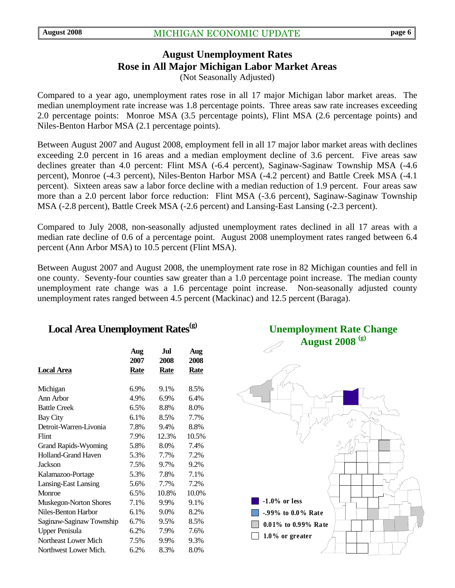## **August Unemployment Rates Rose in All Major Michigan Labor Market Areas**  (Not Seasonally Adjusted)

Compared to a year ago, unemployment rates rose in all 17 major Michigan labor market areas. The median unemployment rate increase was 1.8 percentage points. Three areas saw rate increases exceeding 2.0 percentage points: Monroe MSA (3.5 percentage points), Flint MSA (2.6 percentage points) and Niles-Benton Harbor MSA (2.1 percentage points).

Between August 2007 and August 2008, employment fell in all 17 major labor market areas with declines exceeding 2.0 percent in 16 areas and a median employment decline of 3.6 percent. Five areas saw declines greater than 4.0 percent: Flint MSA (-6.4 percent), Saginaw-Saginaw Township MSA (-4.6 percent), Monroe (-4.3 percent), Niles-Benton Harbor MSA (-4.2 percent) and Battle Creek MSA (-4.1 percent). Sixteen areas saw a labor force decline with a median reduction of 1.9 percent. Four areas saw more than a 2.0 percent labor force reduction: Flint MSA (-3.6 percent), Saginaw-Saginaw Township MSA (-2.8 percent), Battle Creek MSA (-2.6 percent) and Lansing-East Lansing (-2.3 percent).

Compared to July 2008, non-seasonally adjusted unemployment rates declined in all 17 areas with a median rate decline of 0.6 of a percentage point. August 2008 unemployment rates ranged between 6.4 percent (Ann Arbor MSA) to 10.5 percent (Flint MSA).

Between August 2007 and August 2008, the unemployment rate rose in 82 Michigan counties and fell in one county. Seventy-four counties saw greater than a 1.0 percentage point increase. The median county unemployment rate change was a 1.6 percentage point increase. Non-seasonally adjusted county unemployment rates ranged between 4.5 percent (Mackinac) and 12.5 percent (Baraga).

## Local Area Unemployment Rates<sup>(g)</sup>

|                             | Aug<br>2007 | Jul<br>2008 | Aug<br>2008 |
|-----------------------------|-------------|-------------|-------------|
| <b>Local Area</b>           | Rate        | Rate        | Rate        |
| Michigan                    | 6.9%        | 9.1%        | 8.5%        |
| Ann Arbor                   | 4.9%        | 6.9%        | 6.4%        |
| <b>Battle Creek</b>         | 6.5%        | 8.8%        | 8.0%        |
| <b>Bay City</b>             | 6.1%        | 8.5%        | 7.7%        |
| Detroit-Warren-Livonia      | 7.8%        | 9.4%        | 8.8%        |
| Flint                       | 7.9%        | 12.3%       | 10.5%       |
| <b>Grand Rapids-Wyoming</b> | 5.8%        | 8.0%        | 7.4%        |
| <b>Holland-Grand Haven</b>  | 5.3%        | 7.7%        | 7.2%        |
| Jackson                     | 7.5%        | 9.7%        | 9.2%        |
| Kalamazoo-Portage           | 5.3%        | 7.8%        | 7.1%        |
| <b>Lansing-East Lansing</b> | 5.6%        | 7.7%        | 7.2%        |
| Monroe                      | 6.5%        | 10.8%       | 10.0%       |
| Muskegon-Norton Shores      | 7.1%        | 9.9%        | 9.1%        |
| Niles-Benton Harbor         | 6.1%        | 9.0%        | 8.2%        |
| Saginaw-Saginaw Township    | 6.7%        | 9.5%        | 8.5%        |
| <b>Upper Penisula</b>       | 6.2%        | 7.9%        | 7.6%        |
| Northeast Lower Mich        | 7.5%        | 9.9%        | 9.3%        |
| Northwest Lower Mich.       | 6.2%        | 8.3%        | 8.0%        |

**Unemployment Rate Change August 2008 (g)**

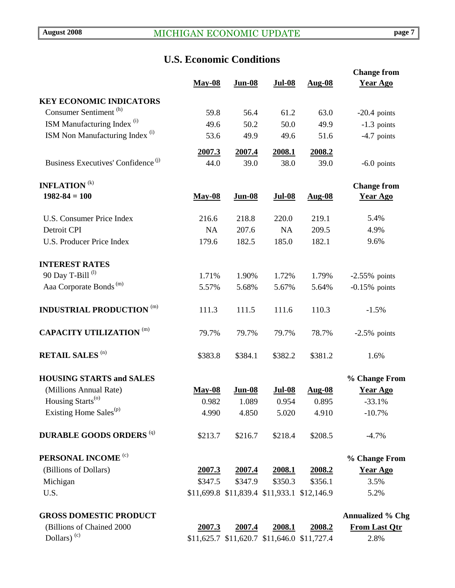# **U.S. Economic Conditions**

|                                                |                |                                             |                |                | <b>Change from</b>      |
|------------------------------------------------|----------------|---------------------------------------------|----------------|----------------|-------------------------|
|                                                | <b>May-08</b>  | <b>Jun-08</b>                               | <b>Jul-08</b>  | <b>Aug-08</b>  | <b>Year Ago</b>         |
| <b>KEY ECONOMIC INDICATORS</b>                 |                |                                             |                |                |                         |
| Consumer Sentiment <sup>(h)</sup>              | 59.8           | 56.4                                        | 61.2           | 63.0           | $-20.4$ points          |
| ISM Manufacturing Index <sup>(i)</sup>         | 49.6           | 50.2                                        | 50.0           | 49.9           | $-1.3$ points           |
| ISM Non Manufacturing Index <sup>(i)</sup>     | 53.6           | 49.9                                        | 49.6           | 51.6           | $-4.7$ points           |
|                                                |                |                                             |                |                |                         |
| Business Executives' Confidence <sup>(j)</sup> | 2007.3<br>44.0 | 2007.4<br>39.0                              | 2008.1<br>38.0 | 2008.2<br>39.0 |                         |
|                                                |                |                                             |                |                | $-6.0$ points           |
| <b>INFLATION</b> <sup>(k)</sup>                |                |                                             |                |                | <b>Change from</b>      |
| $1982 - 84 = 100$                              | <b>May-08</b>  | <b>Jun-08</b>                               | <b>Jul-08</b>  | <b>Aug-08</b>  | <b>Year Ago</b>         |
|                                                |                |                                             |                |                |                         |
| <b>U.S. Consumer Price Index</b>               | 216.6          | 218.8                                       | 220.0          | 219.1          | 5.4%                    |
| Detroit CPI                                    | <b>NA</b>      | 207.6                                       | <b>NA</b>      | 209.5          | 4.9%                    |
| <b>U.S. Producer Price Index</b>               | 179.6          | 182.5                                       | 185.0          | 182.1          | 9.6%                    |
|                                                |                |                                             |                |                |                         |
| <b>INTEREST RATES</b>                          |                |                                             |                |                |                         |
| 90 Day T-Bill <sup>(l)</sup>                   | 1.71%          | 1.90%                                       | 1.72%          | 1.79%          | $-2.55\%$ points        |
| Aaa Corporate Bonds <sup>(m)</sup>             | 5.57%          | 5.68%                                       | 5.67%          | 5.64%          | $-0.15%$ points         |
| <b>INDUSTRIAL PRODUCTION (m)</b>               | 111.3          | 111.5                                       | 111.6          | 110.3          | $-1.5%$                 |
| <b>CAPACITY UTILIZATION (m)</b>                | 79.7%          | 79.7%                                       | 79.7%          | 78.7%          | $-2.5\%$ points         |
| <b>RETAIL SALES (n)</b>                        | \$383.8        | \$384.1                                     | \$382.2        | \$381.2        | 1.6%                    |
| <b>HOUSING STARTS and SALES</b>                |                |                                             |                |                | % Change From           |
| (Millions Annual Rate)                         | <b>May-08</b>  | <b>Jun-08</b>                               | <b>Jul-08</b>  | Aug-08         | <b>Year Ago</b>         |
| Housing Starts <sup>(o)</sup>                  | 0.982          | 1.089                                       | 0.954          | 0.895          | $-33.1%$                |
| Existing Home Sales <sup>(p)</sup>             | 4.990          | 4.850                                       | 5.020          | 4.910          | $-10.7%$                |
| <b>DURABLE GOODS ORDERS (q)</b>                | \$213.7        | \$216.7                                     | \$218.4        | \$208.5        | $-4.7%$                 |
| PERSONAL INCOME <sup>(c)</sup>                 |                |                                             |                |                | % Change From           |
| (Billions of Dollars)                          | 2007.3         | 2007.4                                      | 2008.1         | <u>2008.2</u>  | <b>Year Ago</b>         |
| Michigan                                       | \$347.5        | \$347.9                                     | \$350.3        | \$356.1        | 3.5%                    |
| U.S.                                           |                | \$11,699.8 \$11,839.4 \$11,933.1 \$12,146.9 |                |                | 5.2%                    |
| <b>GROSS DOMESTIC PRODUCT</b>                  |                |                                             |                |                | <b>Annualized % Chg</b> |
| (Billions of Chained 2000                      | 2007.3         | 2007.4                                      | 2008.1         | 2008.2         | <b>From Last Qtr</b>    |
| Dollars) $(c)$                                 |                | \$11,625.7 \$11,620.7 \$11,646.0 \$11,727.4 |                |                | 2.8%                    |